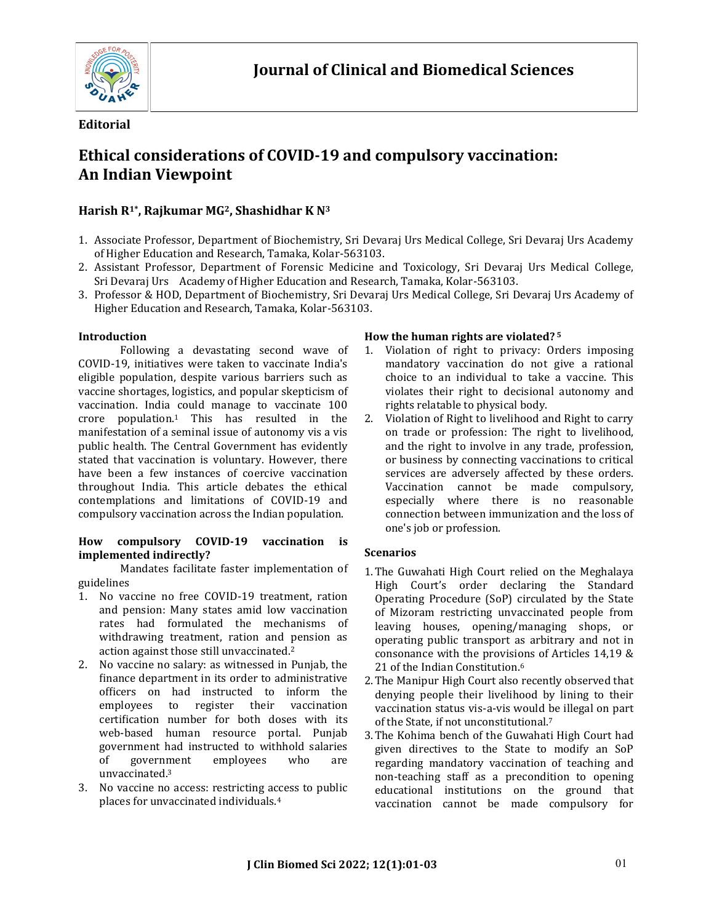

## **Editorial**

# **Ethical considerations of COVID-19 and compulsory vaccination: An Indian Viewpoint**

## **Harish R1\*, Rajkumar MG2, Shashidhar K N<sup>3</sup>**

- 1. Associate Professor, Department of Biochemistry, Sri Devaraj Urs Medical College, Sri Devaraj Urs Academy of Higher Education and Research, Tamaka, Kolar-563103.
- 2. Assistant Professor, Department of Forensic Medicine and Toxicology, Sri Devaraj Urs Medical College, Sri Devaraj Urs Academy of Higher Education and Research, Tamaka, Kolar-563103.
- 3. Professor & HOD, Department of Biochemistry, Sri Devaraj Urs Medical College, Sri Devaraj Urs Academy of Higher Education and Research, Tamaka, Kolar-563103.

## **Introduction**

Following a devastating second wave of COVID-19, initiatives were taken to vaccinate India's eligible population, despite various barriers such as vaccine shortages, logistics, and popular skepticism of vaccination. India could manage to vaccinate 100 crore population.<sup>1</sup> This has resulted in the manifestation of a seminal issue of autonomy vis a vis public health. The Central Government has evidently stated that vaccination is voluntary. However, there have been a few instances of coercive vaccination throughout India. This article debates the ethical contemplations and limitations of COVID-19 and compulsory vaccination across the Indian population.

#### **How compulsory COVID-19 vaccination is implemented indirectly?**

Mandates facilitate faster implementation of guidelines

- 1. No vaccine no free COVID-19 treatment, ration and pension: Many states amid low vaccination rates had formulated the mechanisms of withdrawing treatment, ration and pension as action against those still unvaccinated.<sup>2</sup>
- 2. No vaccine no salary: as witnessed in Punjab, the finance department in its order to administrative officers on had instructed to inform the employees to register their vaccination certification number for both doses with its web-based human resource portal. Punjab government had instructed to withhold salaries of government employees who are unvaccinated.<sup>3</sup>
- 3. No vaccine no access: restricting access to public places for unvaccinated individuals.<sup>4</sup>

## **How the human rights are violated? <sup>5</sup>**

- 1. Violation of right to privacy: Orders imposing mandatory vaccination do not give a rational choice to an individual to take a vaccine. This violates their right to decisional autonomy and rights relatable to physical body.
- 2. Violation of Right to livelihood and Right to carry on trade or profession: The right to livelihood, and the right to involve in any trade, profession, or business by connecting vaccinations to critical services are adversely affected by these orders. Vaccination cannot be made compulsory, especially where there is no reasonable connection between immunization and the loss of one's job or profession.

## **Scenarios**

- 1.The Guwahati High Court relied on the Meghalaya High Court's order declaring the Standard Operating Procedure (SoP) circulated by the State of Mizoram restricting unvaccinated people from leaving houses, opening/managing shops, or operating public transport as arbitrary and not in consonance with the provisions of Articles 14,19 & 21 of the Indian Constitution.<sup>6</sup>
- 2.The Manipur High Court also recently observed that denying people their livelihood by lining to their vaccination status vis-a-vis would be illegal on part of the State, if not unconstitutional.<sup>7</sup>
- 3.The Kohima bench of the Guwahati High Court had given directives to the State to modify an SoP regarding mandatory vaccination of teaching and non-teaching staff as a precondition to opening educational institutions on the ground that vaccination cannot be made compulsory for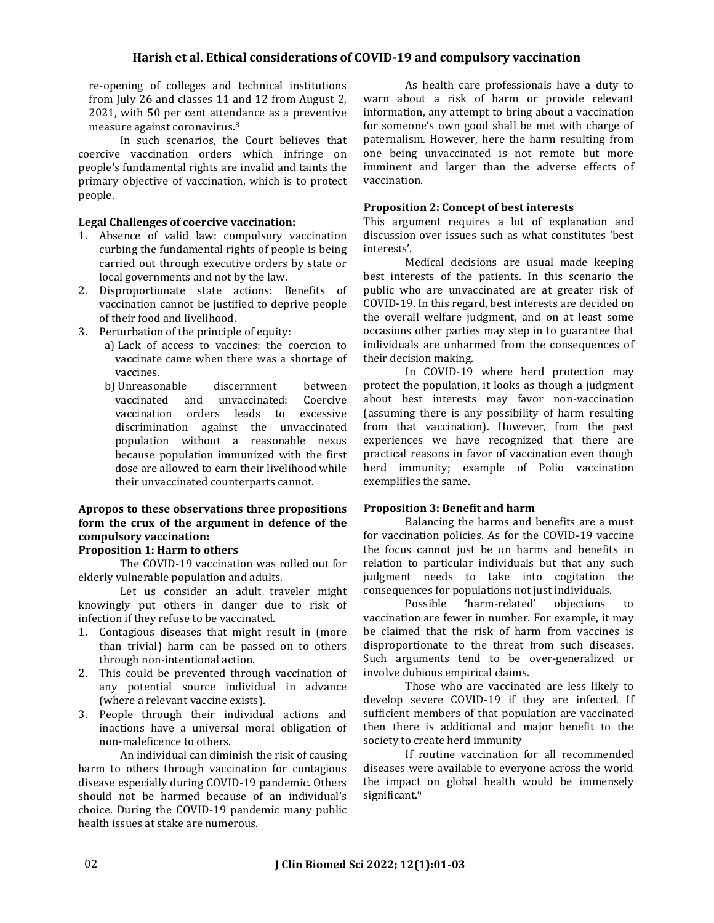## **Harish et al. Ethical considerations of COVID-19 and compulsory vaccination**

re-opening of colleges and technical institutions from July 26 and classes 11 and 12 from August 2, 2021, with 50 per cent attendance as a preventive measure against coronavirus.<sup>8</sup>

In such scenarios, the Court believes that coercive vaccination orders which infringe on people's fundamental rights are invalid and taints the primary objective of vaccination, which is to protect people.

#### **Legal Challenges of coercive vaccination:**

- 1. Absence of valid law: compulsory vaccination curbing the fundamental rights of people is being carried out through executive orders by state or local governments and not by the law.
- 2. Disproportionate state actions: Benefits of vaccination cannot be justified to deprive people of their food and livelihood.
- 3. Perturbation of the principle of equity:
	- a) Lack of access to vaccines: the coercion to vaccinate came when there was a shortage of vaccines.
	- b) Unreasonable discernment between vaccinated and unvaccinated: Coercive vaccination orders leads to excessive discrimination against the unvaccinated population without a reasonable nexus because population immunized with the first dose are allowed to earn their livelihood while their unvaccinated counterparts cannot.

## **Apropos to these observations three propositions form the crux of the argument in defence of the compulsory vaccination:**

### **Proposition 1: Harm to others**

The COVID-19 vaccination was rolled out for elderly vulnerable population and adults.

Let us consider an adult traveler might knowingly put others in danger due to risk of infection if they refuse to be vaccinated.

- 1. Contagious diseases that might result in (more than trivial) harm can be passed on to others through non-intentional action.
- 2. This could be prevented through vaccination of any potential source individual in advance (where a relevant vaccine exists).
- 3. People through their individual actions and inactions have a universal moral obligation of non-maleficence to others.

An individual can diminish the risk of causing harm to others through vaccination for contagious disease especially during COVID-19 pandemic. Others should not be harmed because of an individual's choice. During the COVID-19 pandemic many public health issues at stake are numerous.

As health care professionals have a duty to warn about a risk of harm or provide relevant information, any attempt to bring about a vaccination for someone's own good shall be met with charge of paternalism. However, here the harm resulting from one being unvaccinated is not remote but more imminent and larger than the adverse effects of vaccination.

#### **Proposition 2: Concept of best interests**

This argument requires a lot of explanation and discussion over issues such as what constitutes 'best interests'.

Medical decisions are usual made keeping best interests of the patients. In this scenario the public who are unvaccinated are at greater risk of COVID-19. In this regard, best interests are decided on the overall welfare judgment, and on at least some occasions other parties may step in to guarantee that individuals are unharmed from the consequences of their decision making.

In COVID-19 where herd protection may protect the population, it looks as though a judgment about best interests may favor non-vaccination (assuming there is any possibility of harm resulting from that vaccination). However, from the past experiences we have recognized that there are practical reasons in favor of vaccination even though herd immunity; example of Polio vaccination exemplifies the same.

#### **Proposition 3: Benefit and harm**

Balancing the harms and benefits are a must for vaccination policies. As for the COVID-19 vaccine the focus cannot just be on harms and benefits in relation to particular individuals but that any such judgment needs to take into cogitation the consequences for populations not just individuals.

Possible 'harm-related' objections to vaccination are fewer in number. For example, it may be claimed that the risk of harm from vaccines is disproportionate to the threat from such diseases. Such arguments tend to be over-generalized or involve dubious empirical claims.

Those who are vaccinated are less likely to develop severe COVID-19 if they are infected. If sufficient members of that population are vaccinated then there is additional and major benefit to the society to create herd immunity

If routine vaccination for all recommended diseases were available to everyone across the world the impact on global health would be immensely significant.<sup>9</sup>